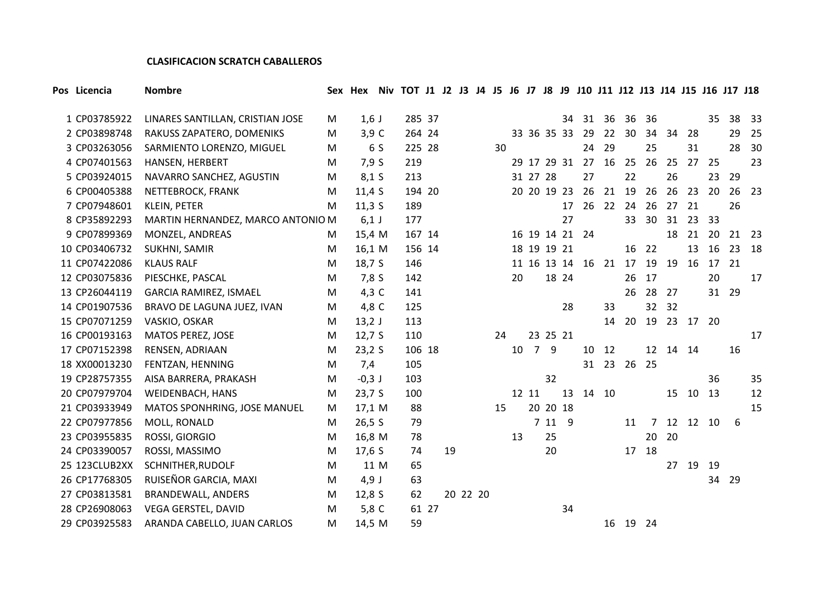## **CLASIFICACION SCRATCH CABALLEROS**

| 1 CP03785922  | LINARES SANTILLAN, CRISTIAN JOSE  | M | $1,6$ J  | 285 37 |       |          |    |    |                |          |    | 34 31 | 36       | 36    | 36              |       |    | 35    | 38 33 |    |
|---------------|-----------------------------------|---|----------|--------|-------|----------|----|----|----------------|----------|----|-------|----------|-------|-----------------|-------|----|-------|-------|----|
| 2 CP03898748  | RAKUSS ZAPATERO, DOMENIKS         | M | $3,9$ C  | 264 24 |       |          |    |    | 33 36 35 33    |          |    | 29    | 22       | 30    | 34              | 34    | 28 |       | 29    | 25 |
| 3 CP03263056  | SARMIENTO LORENZO, MIGUEL         | M | 6 S      | 225 28 |       |          | 30 |    |                |          |    | 24    | 29       |       | 25              |       | 31 |       | 28    | 30 |
| 4 CP07401563  | HANSEN, HERBERT                   | M | 7,9S     | 219    |       |          |    |    | 29 17 29 31    |          |    | 27    | 16       | 25    | 26              | 25    | 27 | 25    |       | 23 |
| 5 CP03924015  | NAVARRO SANCHEZ, AGUSTIN          | M | $8,1$ S  | 213    |       |          |    |    | 31 27 28       |          |    | 27    |          | 22    |                 | 26    |    | 23    | 29    |    |
| 6 CP00405388  | NETTEBROCK, FRANK                 | M | 11,4S    | 194 20 |       |          |    |    | 20 20 19 23    |          |    | 26    | 21       | 19    | 26              | 26    | 23 | 20    | 26    | 23 |
| 7 CP07948601  | <b>KLEIN, PETER</b>               | M | 11,35    | 189    |       |          |    |    |                |          | 17 | 26    | 22 24 26 |       |                 | 27    | 21 |       | 26    |    |
| 8 CP35892293  | MARTIN HERNANDEZ, MARCO ANTONIO M |   | $6,1$ J  | 177    |       |          |    |    |                |          | 27 |       |          | 33    | 30 <sup>°</sup> | 31    | 23 | 33    |       |    |
| 9 CP07899369  | MONZEL, ANDREAS                   | M | 15,4 M   | 167 14 |       |          |    |    | 16 19 14 21 24 |          |    |       |          |       |                 | 18    | 21 | 20    | 21 23 |    |
| 10 CP03406732 | SUKHNI, SAMIR                     | M | 16,1 M   | 156 14 |       |          |    |    | 18 19 19 21    |          |    |       |          | 16    | 22              |       | 13 | 16    | 23 18 |    |
| 11 CP07422086 | <b>KLAUS RALF</b>                 | M | 18,7 S   | 146    |       |          |    |    | 11 16 13 14    |          |    | 16    | 21 17    |       | 19              | 19    | 16 | 17 21 |       |    |
| 12 CP03075836 | PIESCHKE, PASCAL                  | M | 7,8S     | 142    |       |          |    | 20 |                | 18 24    |    |       |          | 26    | 17              |       |    | 20    |       | 17 |
| 13 CP26044119 | GARCIA RAMIREZ, ISMAEL            | M | 4,3 C    | 141    |       |          |    |    |                |          |    |       |          | 26    | 28              | 27    |    | 31 29 |       |    |
| 14 CP01907536 | BRAVO DE LAGUNA JUEZ, IVAN        | M | 4,8 C    | 125    |       |          |    |    |                |          | 28 |       | 33       |       | 32              | 32    |    |       |       |    |
| 15 CP07071259 | VASKIO, OSKAR                     | M | $13,2$ J | 113    |       |          |    |    |                |          |    |       | 14       | 20    | 19              | 23 17 |    | 20    |       |    |
| 16 CP00193163 | MATOS PEREZ, JOSE                 | M | 12,7S    | 110    |       |          | 24 |    |                | 23 25 21 |    |       |          |       |                 |       |    |       |       | 17 |
| 17 CP07152398 | RENSEN, ADRIAAN                   | M | 23,2S    | 106 18 |       |          |    | 10 |                | 7 9      |    | 10    | 12       |       | 12              | 14 14 |    |       | 16    |    |
| 18 XX00013230 | FENTZAN, HENNING                  | M | 7,4      | 105    |       |          |    |    |                |          |    | 31    |          | 23 26 | 25              |       |    |       |       |    |
| 19 CP28757355 | AISA BARRERA, PRAKASH             | M | $-0,3$ J | 103    |       |          |    |    |                | 32       |    |       |          |       |                 |       |    | 36    |       | 35 |
| 20 CP07979704 | WEIDENBACH, HANS                  | M | 23,7 S   | 100    |       |          |    |    | 12 11          |          | 13 |       | 14 10    |       |                 | 15    | 10 | 13    |       | 12 |
| 21 CP03933949 | MATOS SPONHRING, JOSE MANUEL      | M | 17,1 M   | 88     |       |          | 15 |    |                | 20 20 18 |    |       |          |       |                 |       |    |       |       | 15 |
| 22 CP07977856 | MOLL, RONALD                      | M | 26,5S    | 79     |       |          |    |    |                | 7 11 9   |    |       |          | 11    | $\overline{7}$  | 12 12 |    | 10    | 6     |    |
| 23 CP03955835 | ROSSI, GIORGIO                    | M | 16,8 M   | 78     |       |          |    | 13 |                | 25       |    |       |          |       | 20              | 20    |    |       |       |    |
| 24 CP03390057 | ROSSI, MASSIMO                    | M | 17,6S    | 74     |       | 19       |    |    |                | 20       |    |       |          | 17    | 18              |       |    |       |       |    |
| 25 123CLUB2XX | SCHNITHER, RUDOLF                 | M | 11 M     | 65     |       |          |    |    |                |          |    |       |          |       |                 | 27    | 19 | 19    |       |    |
| 26 CP17768305 | RUISEÑOR GARCIA, MAXI             | M | $4,9$ J  | 63     |       |          |    |    |                |          |    |       |          |       |                 |       |    | 34 29 |       |    |
| 27 CP03813581 | <b>BRANDEWALL, ANDERS</b>         | M | 12,8 S   | 62     |       | 20 22 20 |    |    |                |          |    |       |          |       |                 |       |    |       |       |    |
| 28 CP26908063 | VEGA GERSTEL, DAVID               | M | 5,8 C    |        | 61 27 |          |    |    |                |          | 34 |       |          |       |                 |       |    |       |       |    |
| 29 CP03925583 | ARANDA CABELLO, JUAN CARLOS       | M | 14,5 M   | 59     |       |          |    |    |                |          |    |       |          | 16 19 | -24             |       |    |       |       |    |

Pos Licencia Mombre 1996 Sex Hex Niv TOT 11 12 13 14 15 16 17 18 19 110 111 112 113 114 115 116 117 118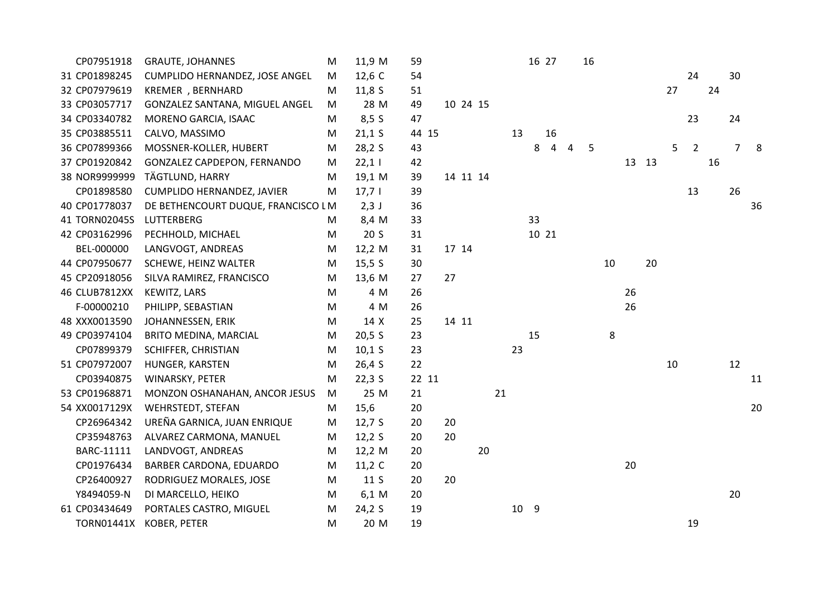| CP07951918        | <b>GRAUTE, JOHANNES</b>            | М | 11,9 M          | 59    |          |    |    |      | 16 27 |   | 16 |    |    |    |        |                |    |    |    |
|-------------------|------------------------------------|---|-----------------|-------|----------|----|----|------|-------|---|----|----|----|----|--------|----------------|----|----|----|
| 31 CP01898245     | CUMPLIDO HERNANDEZ, JOSE ANGEL     | M | 12,6 C          | 54    |          |    |    |      |       |   |    |    |    |    |        | 24             |    | 30 |    |
| 32 CP07979619     | KREMER , BERNHARD                  | м | 11,8S           | 51    |          |    |    |      |       |   |    |    |    |    | 27     |                | 24 |    |    |
| 33 CP03057717     | GONZALEZ SANTANA, MIGUEL ANGEL     | M | 28 M            | 49    | 10 24 15 |    |    |      |       |   |    |    |    |    |        |                |    |    |    |
| 34 CP03340782     | MORENO GARCIA, ISAAC               | M | 8,5S            | 47    |          |    |    |      |       |   |    |    |    |    |        | 23             |    | 24 |    |
| 35 CP03885511     | CALVO, MASSIMO                     | M | $21,1$ S        | 44 15 |          |    | 13 |      | 16    |   |    |    |    |    |        |                |    |    |    |
| 36 CP07899366     | MOSSNER-KOLLER, HUBERT             | M | 28,2 S          | 43    |          |    |    | 8    | 4     | 4 | 5  |    |    |    | 5      | $\overline{2}$ |    | 7  | 8  |
| 37 CP01920842     | <b>GONZALEZ CAPDEPON, FERNANDO</b> | M | 22,11           | 42    |          |    |    |      |       |   |    |    | 13 | 13 |        |                | 16 |    |    |
| 38 NOR9999999     | TÄGTLUND, HARRY                    | M | 19,1 M          | 39    | 14 11 14 |    |    |      |       |   |    |    |    |    |        |                |    |    |    |
| CP01898580        | CUMPLIDO HERNANDEZ, JAVIER         | M | 17,71           | 39    |          |    |    |      |       |   |    |    |    |    |        | 13             |    | 26 |    |
| 40 CP01778037     | DE BETHENCOURT DUQUE, FRANCISCO LM |   | $2,3$ J         | 36    |          |    |    |      |       |   |    |    |    |    |        |                |    |    | 36 |
| 41 TORN02045S     | LUTTERBERG                         | M | 8,4 M           | 33    |          |    |    | 33   |       |   |    |    |    |    |        |                |    |    |    |
| 42 CP03162996     | PECHHOLD, MICHAEL                  | M | 20 <sub>S</sub> | 31    |          |    |    |      | 10 21 |   |    |    |    |    |        |                |    |    |    |
| BEL-000000        | LANGVOGT, ANDREAS                  | M | 12,2 M          | 31    | 17 14    |    |    |      |       |   |    |    |    |    |        |                |    |    |    |
| 44 CP07950677     | SCHEWE, HEINZ WALTER               | M | 15,5 S          | 30    |          |    |    |      |       |   |    | 10 |    | 20 |        |                |    |    |    |
| 45 CP20918056     | SILVA RAMIREZ, FRANCISCO           | M | 13,6 M          | 27    | 27       |    |    |      |       |   |    |    |    |    |        |                |    |    |    |
| 46 CLUB7812XX     | KEWITZ, LARS                       | M | 4 M             | 26    |          |    |    |      |       |   |    |    | 26 |    |        |                |    |    |    |
| F-00000210        | PHILIPP, SEBASTIAN                 | M | 4 M             | 26    |          |    |    |      |       |   |    |    | 26 |    |        |                |    |    |    |
| 48 XXX0013590     | JOHANNESSEN, ERIK                  | M | 14 X            | 25    | 14 11    |    |    |      |       |   |    |    |    |    |        |                |    |    |    |
| 49 CP03974104     | BRITO MEDINA, MARCIAL              | M | 20,5S           | 23    |          |    |    | 15   |       |   |    | 8  |    |    |        |                |    |    |    |
| CP07899379        | SCHIFFER, CHRISTIAN                | M | 10,1 S          | 23    |          |    | 23 |      |       |   |    |    |    |    |        |                |    |    |    |
| 51 CP07972007     | HUNGER, KARSTEN                    | M | 26,4S           | 22    |          |    |    |      |       |   |    |    |    |    | $10\,$ |                |    | 12 |    |
| CP03940875        | WINARSKY, PETER                    | M | $22,3$ S        | 22 11 |          |    |    |      |       |   |    |    |    |    |        |                |    |    | 11 |
| 53 CP01968871     | MONZON OSHANAHAN, ANCOR JESUS      | M | 25 M            | 21    |          | 21 |    |      |       |   |    |    |    |    |        |                |    |    |    |
| 54 XX0017129X     | <b>WEHRSTEDT, STEFAN</b>           | M | 15,6            | 20    |          |    |    |      |       |   |    |    |    |    |        |                |    |    | 20 |
| CP26964342        | UREÑA GARNICA, JUAN ENRIQUE        | M | 12,7S           | 20    | 20       |    |    |      |       |   |    |    |    |    |        |                |    |    |    |
| CP35948763        | ALVAREZ CARMONA, MANUEL            | M | 12,2S           | 20    | 20       |    |    |      |       |   |    |    |    |    |        |                |    |    |    |
| BARC-11111        | LANDVOGT, ANDREAS                  | M | 12,2 M          | 20    |          | 20 |    |      |       |   |    |    |    |    |        |                |    |    |    |
| CP01976434        | BARBER CARDONA, EDUARDO            | M | 11,2 $C$        | 20    |          |    |    |      |       |   |    |    | 20 |    |        |                |    |    |    |
| CP26400927        | RODRIGUEZ MORALES, JOSE            | M | 11 S            | 20    | 20       |    |    |      |       |   |    |    |    |    |        |                |    |    |    |
| Y8494059-N        | DI MARCELLO, HEIKO                 | M | 6,1 M           | 20    |          |    |    |      |       |   |    |    |    |    |        |                |    | 20 |    |
| 61 CP03434649     | PORTALES CASTRO, MIGUEL            | M | 24,2S           | 19    |          |    |    | 10 9 |       |   |    |    |    |    |        |                |    |    |    |
| <b>TORN01441X</b> | <b>KOBER, PETER</b>                | M | 20 M            | 19    |          |    |    |      |       |   |    |    |    |    |        | 19             |    |    |    |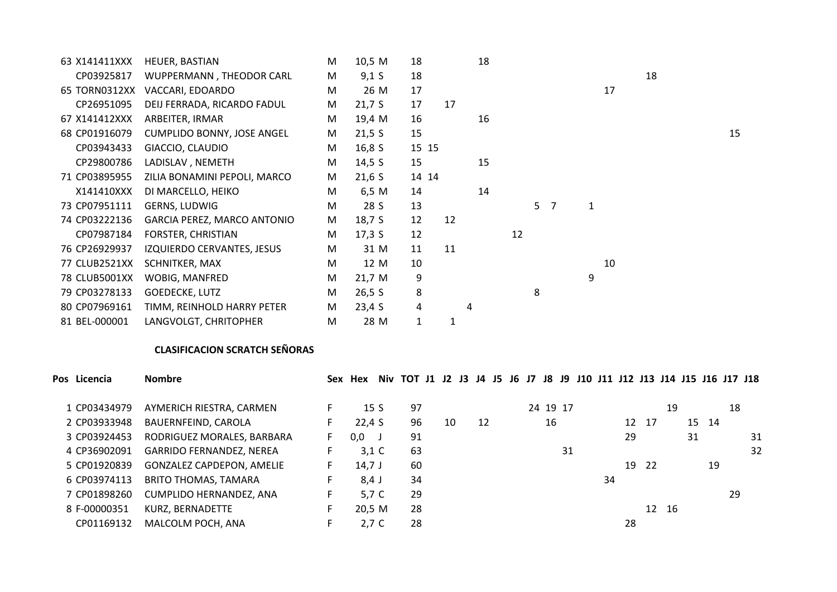| 63 X141411XXX | HEUER, BASTIAN               | M | 10,5 M            | 18           |    | 18 |    |                |                |   |    |    |    |
|---------------|------------------------------|---|-------------------|--------------|----|----|----|----------------|----------------|---|----|----|----|
| CP03925817    | WUPPERMANN, THEODOR CARL     | M | 9,1 S             | 18           |    |    |    |                |                |   |    | 18 |    |
| 65 TORN0312XX | VACCARI, EDOARDO             | M | 26 M              | 17           |    |    |    |                |                |   | 17 |    |    |
| CP26951095    | DEIJ FERRADA, RICARDO FADUL  | M | 21,7S             | 17           | 17 |    |    |                |                |   |    |    |    |
| 67 X141412XXX | ARBEITER, IRMAR              | M | 19,4 M            | 16           |    | 16 |    |                |                |   |    |    |    |
| 68 CP01916079 | CUMPLIDO BONNY, JOSE ANGEL   | M | 21,5 S            | 15           |    |    |    |                |                |   |    |    | 15 |
| CP03943433    | GIACCIO, CLAUDIO             | M | 16,8 <sup>5</sup> | 15 15        |    |    |    |                |                |   |    |    |    |
| CP29800786    | LADISLAV, NEMETH             | M | 14,5 $S$          | 15           |    | 15 |    |                |                |   |    |    |    |
| 71 CP03895955 | ZILIA BONAMINI PEPOLI, MARCO | M | $21,6$ S          | 14 14        |    |    |    |                |                |   |    |    |    |
| X141410XXX    | DI MARCELLO, HEIKO           | M | 6,5 M             | 14           |    | 14 |    |                |                |   |    |    |    |
| 73 CP07951111 | GERNS, LUDWIG                | M | 28 S              | 13           |    |    |    | 5 <sup>1</sup> | $\overline{7}$ | 1 |    |    |    |
| 74 CP03222136 | GARCIA PEREZ, MARCO ANTONIO  | M | 18,7 S            | 12           | 12 |    |    |                |                |   |    |    |    |
| CP07987184    | FORSTER, CHRISTIAN           | M | 17,3 S            | 12           |    |    | 12 |                |                |   |    |    |    |
| 76 CP26929937 | IZQUIERDO CERVANTES, JESUS   | M | 31 M              | 11           | 11 |    |    |                |                |   |    |    |    |
| 77 CLUB2521XX | SCHNITKER, MAX               | M | 12 M              | 10           |    |    |    |                |                |   | 10 |    |    |
| 78 CLUB5001XX | WOBIG, MANFRED               | M | 21,7 M            | 9            |    |    |    |                |                | 9 |    |    |    |
| 79 CP03278133 | GOEDECKE, LUTZ               | M | 26,5 S            | 8            |    |    |    | 8              |                |   |    |    |    |
| 80 CP07969161 | TIMM, REINHOLD HARRY PETER   | M | 23,4S             | 4            |    | 4  |    |                |                |   |    |    |    |
| 81 BEL-000001 | LANGVOLGT, CHRITOPHER        | M | 28 M              | $\mathbf{1}$ | 1  |    |    |                |                |   |    |    |    |

## **CLASIFICACION SCRATCH SEÑORAS**

| Pos Licencia | <b>Nombre</b>                    | Sex | Hex        |     | Niv TOT J1 J2 J3 J4 J5 J6 J7 J8 J9 J10 J11 J12 J13 J14 J15 J16 J17 J18 |    |    |  |          |    |    |    |       |       |    |       |    |    |
|--------------|----------------------------------|-----|------------|-----|------------------------------------------------------------------------|----|----|--|----------|----|----|----|-------|-------|----|-------|----|----|
| 1 CP03434979 | AYMERICH RIESTRA, CARMEN         |     |            | 15S | 97                                                                     |    |    |  | 24 19 17 |    |    |    |       | 19    |    |       | 18 |    |
| 2 CP03933948 | BAUERNFEIND, CAROLA              |     | 22,4S      |     | 96                                                                     | 10 | 12 |  | 16       |    |    |    | 12 17 |       |    | 15 14 |    |    |
| 3 CP03924453 | RODRIGUEZ MORALES, BARBARA       | F.  | 0,0        |     | 91                                                                     |    |    |  |          |    |    | 29 |       |       | 31 |       |    | 31 |
| 4 CP36902091 | <b>GARRIDO FERNANDEZ, NEREA</b>  |     | $3,1 \, C$ |     | 63                                                                     |    |    |  |          | 31 |    |    |       |       |    |       |    | 32 |
| 5 CP01920839 | <b>GONZALEZ CAPDEPON, AMELIE</b> |     | $14,7$ J   |     | 60                                                                     |    |    |  |          |    |    | 19 | - 22  |       |    | 19    |    |    |
| 6 CP03974113 | <b>BRITO THOMAS, TAMARA</b>      |     | 8,4 J      |     | 34                                                                     |    |    |  |          |    | 34 |    |       |       |    |       |    |    |
| 7 CP01898260 | CUMPLIDO HERNANDEZ, ANA          | F.  | 5,7 C      |     | 29                                                                     |    |    |  |          |    |    |    |       |       |    |       | 29 |    |
| 8 F-00000351 | KURZ, BERNADETTE                 |     | 20,5 M     |     | 28                                                                     |    |    |  |          |    |    |    |       | 12 16 |    |       |    |    |
| CP01169132   | MALCOLM POCH, ANA                |     | $2,7$ C    |     | 28                                                                     |    |    |  |          |    |    | 28 |       |       |    |       |    |    |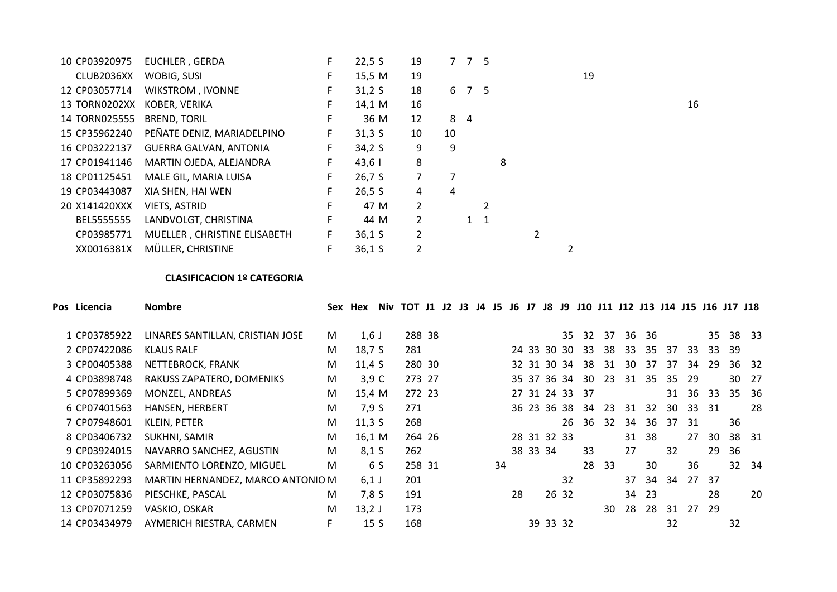| 10 CP03920975 | EUCHLER, GERDA               | F. | 22,5S  | 19             |     | 7 7   | 5              |   |  |    |  |    |
|---------------|------------------------------|----|--------|----------------|-----|-------|----------------|---|--|----|--|----|
| CLUB2036XX    | WOBIG, SUSI                  | F  | 15,5 M | 19             |     |       |                |   |  | 19 |  |    |
| 12 CP03057714 | <b>WIKSTROM, IVONNE</b>      | F. | 31,2S  | 18             |     | 6 7 5 |                |   |  |    |  |    |
| 13 TORN0202XX | KOBER, VERIKA                | F. | 14,1 M | 16             |     |       |                |   |  |    |  | 16 |
| 14 TORN025555 | <b>BREND, TORIL</b>          | F. | 36 M   | 12             | 8 4 |       |                |   |  |    |  |    |
| 15 CP35962240 | PEÑATE DENIZ, MARIADELPINO   | F. | 31,35  | 10             | 10  |       |                |   |  |    |  |    |
| 16 CP03222137 | GUERRA GALVAN, ANTONIA       | F. | 34,2S  | 9              | 9   |       |                |   |  |    |  |    |
| 17 CP01941146 | MARTIN OJEDA, ALEJANDRA      | F. | $43,6$ | 8              |     |       |                | 8 |  |    |  |    |
| 18 CP01125451 | MALE GIL, MARIA LUISA        | F. | 26,7S  | 7              |     |       |                |   |  |    |  |    |
| 19 CP03443087 | XIA SHEN, HAI WEN            | F. | 26,5 S | 4              | 4   |       |                |   |  |    |  |    |
| 20 X141420XXX | VIETS, ASTRID                | F. | 47 M   | $\overline{2}$ |     |       | $\mathfrak{p}$ |   |  |    |  |    |
| BEL5555555    | LANDVOLGT, CHRISTINA         | F. | 44 M   | 2              |     |       | $1 \quad 1$    |   |  |    |  |    |
| CP03985771    | MUELLER, CHRISTINE ELISABETH | F. | 36,1 S | 2              |     |       |                |   |  |    |  |    |
| XX0016381X    | MÜLLER, CHRISTINE            |    | 36,1 S | $\overline{2}$ |     |       |                |   |  |    |  |    |

## **CLASIFICACION 1º CATEGORIA**

| Pos Licencia  | <b>Nombre</b>                     | Sex | Hex      | Niv             | TOT J1 J2 J3 J4 J5 |  |  |    | J6 J7 |          | J8          | J9    |                | J10 J11 J12 J13 J14 J15 J16 J17 J18 |    |       |    |     |     |     |       |
|---------------|-----------------------------------|-----|----------|-----------------|--------------------|--|--|----|-------|----------|-------------|-------|----------------|-------------------------------------|----|-------|----|-----|-----|-----|-------|
| 1 CP03785922  | LINARES SANTILLAN, CRISTIAN JOSE  | M   | $1,6$ J  |                 | 288 38             |  |  |    |       |          |             | 35    | 32             | 37                                  |    | 36 36 |    |     | 35  |     | 38 33 |
| 2 CP07422086  | <b>KLAUS RALF</b>                 | M   | 18,7 S   |                 | 281                |  |  |    |       |          | 24 33 30 30 |       | 33             | 38                                  | 33 | 35    | 37 | 33  | 33  | -39 |       |
| 3 CP00405388  | NETTEBROCK, FRANK                 | M   | 11.4 S   |                 | 280 30             |  |  |    |       |          | 32 31 30 34 |       | 38             | 31                                  | 30 | 37    | 37 | 34  | 29  |     | 36 32 |
| 4 CP03898748  | RAKUSS ZAPATERO, DOMENIKS         | M   | $3,9$ C  |                 | 273 27             |  |  |    |       |          | 35 37 36 34 |       | 30             | 23                                  | 31 | 35    | 35 | 29  |     |     | 30 27 |
| 5 CP07899369  | MONZEL, ANDREAS                   | M   | 15,4 M   |                 | 272 23             |  |  |    |       |          | 27 31 24 33 |       | - 37           |                                     |    |       | 31 | 36  | 33  | 35  | -36   |
| 6 CP07401563  | HANSEN, HERBERT                   | M   | 7,9 S    |                 | 271                |  |  |    |       |          |             |       | 36 23 36 38 34 | 23                                  | 31 | 32    | 30 | 33  | -31 |     | 28    |
| 7 CP07948601  | KLEIN, PETER                      | M   | 11,35    |                 | 268                |  |  |    |       |          |             | 26    | 36             | 32                                  | 34 | 36    | 37 | -31 |     | 36  |       |
| 8 CP03406732  | SUKHNI, SAMIR                     | M   | 16,1 M   |                 | 264 26             |  |  |    |       |          | 28 31 32 33 |       |                |                                     | 31 | 38    |    | 27  | 30  | 38  | 31    |
| 9 CP03924015  | NAVARRO SANCHEZ, AGUSTIN          | M   | $8,1$ S  |                 | 262                |  |  |    |       | 38 33 34 |             |       | 33             |                                     | 27 |       | 32 |     | 29  | 36  |       |
| 10 CP03263056 | SARMIENTO LORENZO, MIGUEL         | M   |          | 6 S             | 258 31             |  |  | 34 |       |          |             |       | 28             | 33                                  |    | 30    |    | 36  |     | 32  | - 34  |
| 11 CP35892293 | MARTIN HERNANDEZ, MARCO ANTONIO M |     | $6,1$ J  |                 | 201                |  |  |    |       |          |             | 32    |                |                                     | 37 | 34    | 34 | 27  | 37  |     |       |
| 12 CP03075836 | PIESCHKE, PASCAL                  | M   | 7,8 S    |                 | 191                |  |  |    | 28    |          |             | 26 32 |                |                                     | 34 | -23   |    |     | 28  |     | 20    |
| 13 CP07071259 | VASKIO, OSKAR                     | M   | $13,2$ J |                 | 173                |  |  |    |       |          |             |       |                | 30                                  | 28 | 28    | 31 | 27  | -29 |     |       |
| 14 CP03434979 | AYMERICH RIESTRA, CARMEN          |     |          | 15 <sub>S</sub> | 168                |  |  |    |       |          | 39 33 32    |       |                |                                     |    |       | 32 |     |     | 32  |       |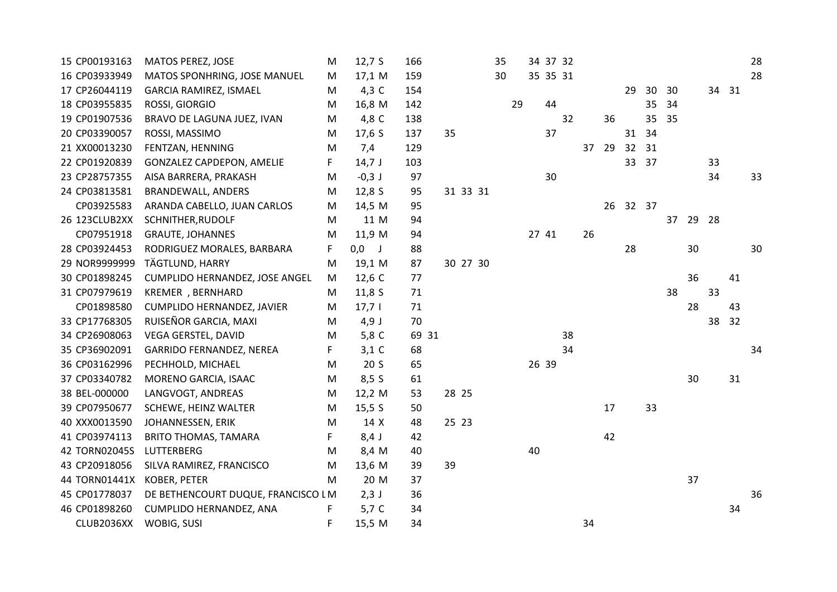| 15 CP00193163 | MATOS PEREZ, JOSE                  | М  | 12,7S           | 166   |    |          | 35 |    |       | 34 37 32 |    |    |    |                 |    |    |      |    | 28 |
|---------------|------------------------------------|----|-----------------|-------|----|----------|----|----|-------|----------|----|----|----|-----------------|----|----|------|----|----|
| 16 CP03933949 | MATOS SPONHRING, JOSE MANUEL       | M  | 17,1 M          | 159   |    |          | 30 |    |       | 35 35 31 |    |    |    |                 |    |    |      |    | 28 |
| 17 CP26044119 | <b>GARCIA RAMIREZ, ISMAEL</b>      | M  | 4,3 C           | 154   |    |          |    |    |       |          |    |    | 29 | 30 <sup>°</sup> | 30 |    | 34   | 31 |    |
| 18 CP03955835 | ROSSI, GIORGIO                     | M  | 16,8 M          | 142   |    |          |    | 29 |       | 44       |    |    |    | 35              | 34 |    |      |    |    |
| 19 CP01907536 | BRAVO DE LAGUNA JUEZ, IVAN         | M  | 4,8 C           | 138   |    |          |    |    |       | 32       |    | 36 |    | 35              | 35 |    |      |    |    |
| 20 CP03390057 | ROSSI, MASSIMO                     | M  | 17,6 $S$        | 137   | 35 |          |    |    |       | 37       |    |    |    | 31 34           |    |    |      |    |    |
| 21 XX00013230 | FENTZAN, HENNING                   | M  | 7,4             | 129   |    |          |    |    |       |          | 37 | 29 |    | 32 31           |    |    |      |    |    |
| 22 CP01920839 | GONZALEZ CAPDEPON, AMELIE          | F. | $14,7$ J        | 103   |    |          |    |    |       |          |    |    |    | 33 37           |    |    | 33   |    |    |
| 23 CP28757355 | AISA BARRERA, PRAKASH              | M  | $-0,3$ J        | 97    |    |          |    |    |       | 30       |    |    |    |                 |    |    | 34   |    | 33 |
| 24 CP03813581 | <b>BRANDEWALL, ANDERS</b>          | M  | 12,8S           | 95    |    | 31 33 31 |    |    |       |          |    |    |    |                 |    |    |      |    |    |
| CP03925583    | ARANDA CABELLO, JUAN CARLOS        | M  | 14,5 M          | 95    |    |          |    |    |       |          |    | 26 |    | 32 37           |    |    |      |    |    |
| 26 123CLUB2XX | SCHNITHER, RUDOLF                  | M  | 11 M            | 94    |    |          |    |    |       |          |    |    |    |                 | 37 | 29 | - 28 |    |    |
| CP07951918    | <b>GRAUTE, JOHANNES</b>            | M  | 11,9 M          | 94    |    |          |    |    | 27 41 |          | 26 |    |    |                 |    |    |      |    |    |
| 28 CP03924453 | RODRIGUEZ MORALES, BARBARA         | F  | $0,0$ J         | 88    |    |          |    |    |       |          |    |    | 28 |                 |    | 30 |      |    | 30 |
| 29 NOR9999999 | TÄGTLUND, HARRY                    | M  | 19,1 M          | 87    |    | 30 27 30 |    |    |       |          |    |    |    |                 |    |    |      |    |    |
| 30 CP01898245 | CUMPLIDO HERNANDEZ, JOSE ANGEL     | М  | 12,6 C          | 77    |    |          |    |    |       |          |    |    |    |                 |    | 36 |      | 41 |    |
| 31 CP07979619 | KREMER, BERNHARD                   | M  | 11,85           | 71    |    |          |    |    |       |          |    |    |    |                 | 38 |    | 33   |    |    |
| CP01898580    | CUMPLIDO HERNANDEZ, JAVIER         | M  | 17,71           | 71    |    |          |    |    |       |          |    |    |    |                 |    | 28 |      | 43 |    |
| 33 CP17768305 | RUISEÑOR GARCIA, MAXI              | M  | $4,9$ J         | 70    |    |          |    |    |       |          |    |    |    |                 |    |    | 38   | 32 |    |
| 34 CP26908063 | VEGA GERSTEL, DAVID                | M  | 5,8 C           | 69 31 |    |          |    |    |       | 38       |    |    |    |                 |    |    |      |    |    |
| 35 CP36902091 | <b>GARRIDO FERNANDEZ, NEREA</b>    | F  | $3,1$ C         | 68    |    |          |    |    |       | 34       |    |    |    |                 |    |    |      |    | 34 |
| 36 CP03162996 | PECHHOLD, MICHAEL                  | M  | 20 <sub>5</sub> | 65    |    |          |    |    | 26 39 |          |    |    |    |                 |    |    |      |    |    |
| 37 CP03340782 | MORENO GARCIA, ISAAC               | M  | 8,5S            | 61    |    |          |    |    |       |          |    |    |    |                 |    | 30 |      | 31 |    |
| 38 BEL-000000 | LANGVOGT, ANDREAS                  | M  | 12,2 M          | 53    |    | 28 25    |    |    |       |          |    |    |    |                 |    |    |      |    |    |
| 39 CP07950677 | SCHEWE, HEINZ WALTER               | M  | 15,5 S          | 50    |    |          |    |    |       |          |    | 17 |    | 33              |    |    |      |    |    |
| 40 XXX0013590 | JOHANNESSEN, ERIK                  | M  | 14 X            | 48    |    | 25 23    |    |    |       |          |    |    |    |                 |    |    |      |    |    |
| 41 CP03974113 | <b>BRITO THOMAS, TAMARA</b>        | F  | $8,4$ J         | 42    |    |          |    |    |       |          |    | 42 |    |                 |    |    |      |    |    |
| 42 TORN02045S | <b>LUTTERBERG</b>                  | M  | 8,4 M           | 40    |    |          |    |    | 40    |          |    |    |    |                 |    |    |      |    |    |
| 43 CP20918056 | SILVA RAMIREZ, FRANCISCO           | M  | 13,6 M          | 39    | 39 |          |    |    |       |          |    |    |    |                 |    |    |      |    |    |
| 44 TORN01441X | KOBER, PETER                       | M  | 20 M            | 37    |    |          |    |    |       |          |    |    |    |                 |    | 37 |      |    |    |
| 45 CP01778037 | DE BETHENCOURT DUQUE, FRANCISCO LM |    | $2,3$ J         | 36    |    |          |    |    |       |          |    |    |    |                 |    |    |      |    | 36 |
| 46 CP01898260 | CUMPLIDO HERNANDEZ, ANA            | F  | 5,7 C           | 34    |    |          |    |    |       |          |    |    |    |                 |    |    |      | 34 |    |
| CLUB2036XX    | WOBIG, SUSI                        | F  | 15,5 M          | 34    |    |          |    |    |       |          | 34 |    |    |                 |    |    |      |    |    |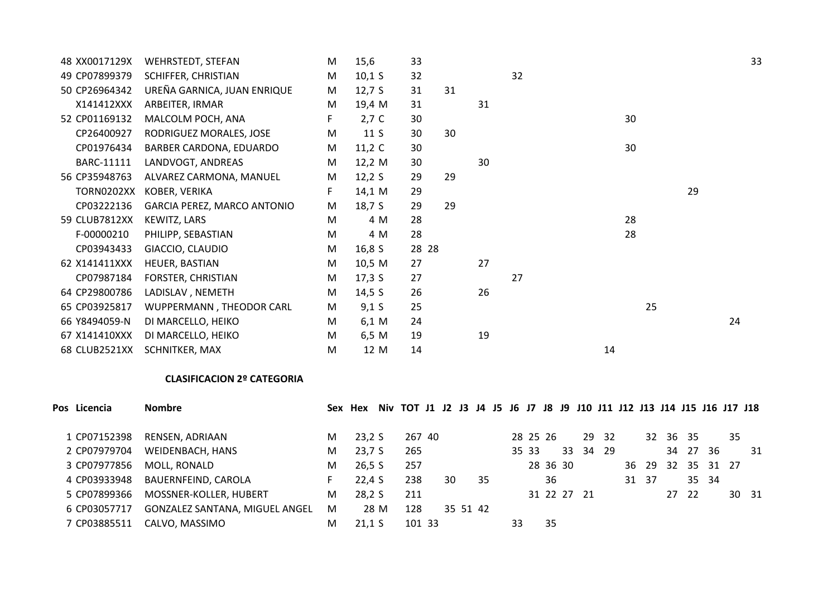| 48 XX0017129X | WEHRSTEDT, STEFAN           | M  | 15,6     | 33    |    |    |    |    |    |    | 33 |
|---------------|-----------------------------|----|----------|-------|----|----|----|----|----|----|----|
| 49 CP07899379 | SCHIFFER, CHRISTIAN         | M  | 10,1 S   | 32    |    |    | 32 |    |    |    |    |
| 50 CP26964342 | UREÑA GARNICA, JUAN ENRIQUE | M  | 12,7 S   | 31    | 31 |    |    |    |    |    |    |
| X141412XXX    | ARBEITER, IRMAR             | M  | 19,4 M   | 31    |    | 31 |    |    |    |    |    |
| 52 CP01169132 | MALCOLM POCH, ANA           | F. | $2,7$ C  | 30    |    |    |    |    | 30 |    |    |
| CP26400927    | RODRIGUEZ MORALES, JOSE     | M  | 11S      | 30    | 30 |    |    |    |    |    |    |
| CP01976434    | BARBER CARDONA, EDUARDO     | M  | 11,2 $C$ | 30    |    |    |    |    | 30 |    |    |
| BARC-11111    | LANDVOGT, ANDREAS           | M  | 12,2 $M$ | 30    |    | 30 |    |    |    |    |    |
| 56 CP35948763 | ALVAREZ CARMONA, MANUEL     | M  | 12,2 $S$ | 29    | 29 |    |    |    |    |    |    |
| TORN0202XX    | KOBER, VERIKA               | F. | 14,1 M   | 29    |    |    |    |    |    | 29 |    |
| CP03222136    | GARCIA PEREZ, MARCO ANTONIO | M  | 18,7 S   | 29    | 29 |    |    |    |    |    |    |
| 59 CLUB7812XX | KEWITZ, LARS                | M  | 4 M      | 28    |    |    |    |    | 28 |    |    |
| F-00000210    | PHILIPP, SEBASTIAN          | M  | 4 M      | 28    |    |    |    |    | 28 |    |    |
| CP03943433    | GIACCIO, CLAUDIO            | M  | 16,8 S   | 28 28 |    |    |    |    |    |    |    |
| 62 X141411XXX | HEUER, BASTIAN              | M  | 10,5 M   | 27    |    | 27 |    |    |    |    |    |
| CP07987184    | FORSTER, CHRISTIAN          | M  | 17,3 S   | 27    |    |    | 27 |    |    |    |    |
| 64 CP29800786 | LADISLAV, NEMETH            | M  | 14,5 $S$ | 26    |    | 26 |    |    |    |    |    |
| 65 CP03925817 | WUPPERMANN, THEODOR CARL    | M  | 9,1 S    | 25    |    |    |    |    | 25 |    |    |
| 66 Y8494059-N | DI MARCELLO, HEIKO          | M  | 6,1 M    | 24    |    |    |    |    |    |    | 24 |
| 67 X141410XXX | DI MARCELLO, HEIKO          | M  | 6,5 M    | 19    |    | 19 |    |    |    |    |    |
| 68 CLUB2521XX | SCHNITKER, MAX              | M  | 12 M     | 14    |    |    |    | 14 |    |    |    |
|               |                             |    |          |       |    |    |    |    |    |    |    |

## **CLASIFICACION 2º CATEGORIA**

| Pos Licencia | <b>Nombre</b>                  |    | Sex Hex |      | Niv TOT J1 J2 J3 J4 J5 J6 J7 J8 J9 J10 J11 J12 J13 J14 J15 J16 J17 J18 |    |          |    |    |       |          |    |             |       |       |          |       |          |    |       |
|--------------|--------------------------------|----|---------|------|------------------------------------------------------------------------|----|----------|----|----|-------|----------|----|-------------|-------|-------|----------|-------|----------|----|-------|
| 1 CP07152398 | RENSEN, ADRIAAN                | M  | 23,2S   |      | 267 40                                                                 |    |          |    |    |       | 28 25 26 |    |             | 29 32 |       | 32 36 35 |       |          | 35 |       |
| 2 CP07979704 | WEIDENBACH, HANS               | M  | 23,7S   |      | 265                                                                    |    |          |    |    | 35 33 |          | 33 | 34          | -29   |       |          | 34 27 | -36      |    | 31    |
| 3 CP07977856 | MOLL, RONALD                   | M  | 26,5 S  |      | 257                                                                    |    |          |    |    |       | 28 36 30 |    |             |       | 36 29 | $-32$    |       | 35 31 27 |    |       |
| 4 CP03933948 | BAUERNFEIND, CAROLA            | F. | 22,4S   |      | 238                                                                    | 30 |          | 35 |    |       | 36       |    |             |       | 31 37 |          |       | 35 34    |    |       |
| 5 CP07899366 | MOSSNER-KOLLER, HUBERT         | M  | 28,2 S  |      | 211                                                                    |    |          |    |    |       |          |    | 31 22 27 21 |       |       |          | 27 22 |          |    | 30 31 |
| 6 CP03057717 | GONZALEZ SANTANA, MIGUEL ANGEL | М  |         | 28 M | 128                                                                    |    | 35 51 42 |    |    |       |          |    |             |       |       |          |       |          |    |       |
| 7 CP03885511 | CALVO, MASSIMO                 | М  | 21.1 S  |      | 101 33                                                                 |    |          |    | 33 |       | 35       |    |             |       |       |          |       |          |    |       |